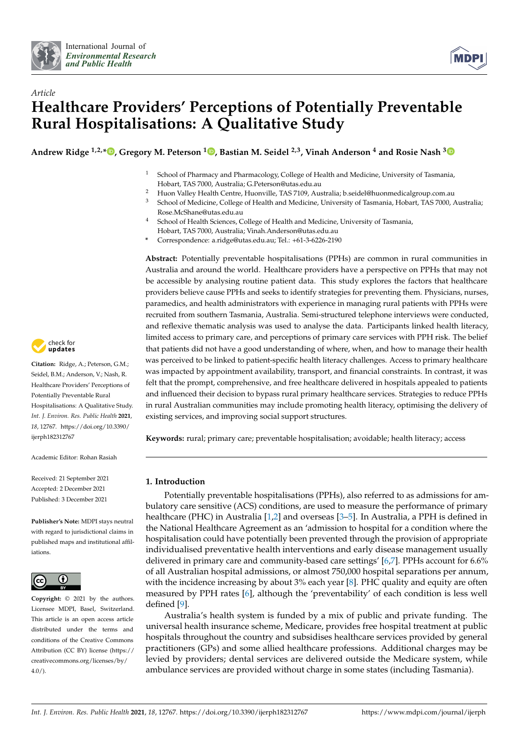



# *Article* **Healthcare Providers' Perceptions of Potentially Preventable Rural Hospitalisations: A Qualitative Study**

**Andrew Ridge 1,2,\* [,](https://orcid.org/0000-0002-5417-9873) Gregory M. Peterson <sup>1</sup> [,](https://orcid.org/0000-0002-6764-3882) Bastian M. Seidel 2,3, Vinah Anderson <sup>4</sup> and Rosie Nash [3](https://orcid.org/0000-0003-3695-0887)**

- <sup>1</sup> School of Pharmacy and Pharmacology, College of Health and Medicine, University of Tasmania, Hobart, TAS 7000, Australia; G.Peterson@utas.edu.au
- <sup>2</sup> Huon Valley Health Centre, Huonville, TAS 7109, Australia; b.seidel@huonmedicalgroup.com.au
- <sup>3</sup> School of Medicine, College of Health and Medicine, University of Tasmania, Hobart, TAS 7000, Australia; Rose.McShane@utas.edu.au
- <sup>4</sup> School of Health Sciences, College of Health and Medicine, University of Tasmania, Hobart, TAS 7000, Australia; Vinah.Anderson@utas.edu.au
- **\*** Correspondence: a.ridge@utas.edu.au; Tel.: +61-3-6226-2190

**Abstract:** Potentially preventable hospitalisations (PPHs) are common in rural communities in Australia and around the world. Healthcare providers have a perspective on PPHs that may not be accessible by analysing routine patient data. This study explores the factors that healthcare providers believe cause PPHs and seeks to identify strategies for preventing them. Physicians, nurses, paramedics, and health administrators with experience in managing rural patients with PPHs were recruited from southern Tasmania, Australia. Semi-structured telephone interviews were conducted, and reflexive thematic analysis was used to analyse the data. Participants linked health literacy, limited access to primary care, and perceptions of primary care services with PPH risk. The belief that patients did not have a good understanding of where, when, and how to manage their health was perceived to be linked to patient-specific health literacy challenges. Access to primary healthcare was impacted by appointment availability, transport, and financial constraints. In contrast, it was felt that the prompt, comprehensive, and free healthcare delivered in hospitals appealed to patients and influenced their decision to bypass rural primary healthcare services. Strategies to reduce PPHs in rural Australian communities may include promoting health literacy, optimising the delivery of existing services, and improving social support structures.

**Keywords:** rural; primary care; preventable hospitalisation; avoidable; health literacy; access

# **1. Introduction**

Potentially preventable hospitalisations (PPHs), also referred to as admissions for ambulatory care sensitive (ACS) conditions, are used to measure the performance of primary healthcare (PHC) in Australia [\[1,](#page-11-0)[2\]](#page-11-1) and overseas [\[3–](#page-11-2)[5\]](#page-11-3). In Australia, a PPH is defined in the National Healthcare Agreement as an 'admission to hospital for a condition where the hospitalisation could have potentially been prevented through the provision of appropriate individualised preventative health interventions and early disease management usually delivered in primary care and community-based care settings' [\[6](#page-11-4)[,7\]](#page-11-5). PPHs account for 6.6% of all Australian hospital admissions, or almost 750,000 hospital separations per annum, with the incidence increasing by about  $3\%$  each year [\[8\]](#page-11-6). PHC quality and equity are often measured by PPH rates [\[6\]](#page-11-4), although the 'preventability' of each condition is less well defined [\[9\]](#page-11-7).

Australia's health system is funded by a mix of public and private funding. The universal health insurance scheme, Medicare, provides free hospital treatment at public hospitals throughout the country and subsidises healthcare services provided by general practitioners (GPs) and some allied healthcare professions. Additional charges may be levied by providers; dental services are delivered outside the Medicare system, while ambulance services are provided without charge in some states (including Tasmania).



**Citation:** Ridge, A.; Peterson, G.M.; Seidel, B.M.; Anderson, V.; Nash, R. Healthcare Providers' Perceptions of Potentially Preventable Rural Hospitalisations: A Qualitative Study. *Int. J. Environ. Res. Public Health* **2021**, *18*, 12767. [https://doi.org/10.3390/](https://doi.org/10.3390/ijerph182312767) [ijerph182312767](https://doi.org/10.3390/ijerph182312767)

Academic Editor: Rohan Rasiah

Received: 21 September 2021 Accepted: 2 December 2021 Published: 3 December 2021

**Publisher's Note:** MDPI stays neutral with regard to jurisdictional claims in published maps and institutional affiliations.



**Copyright:** © 2021 by the authors. Licensee MDPI, Basel, Switzerland. This article is an open access article distributed under the terms and conditions of the Creative Commons Attribution (CC BY) license (https:/[/](https://creativecommons.org/licenses/by/4.0/) [creativecommons.org/licenses/by/](https://creativecommons.org/licenses/by/4.0/)  $4.0/$ ).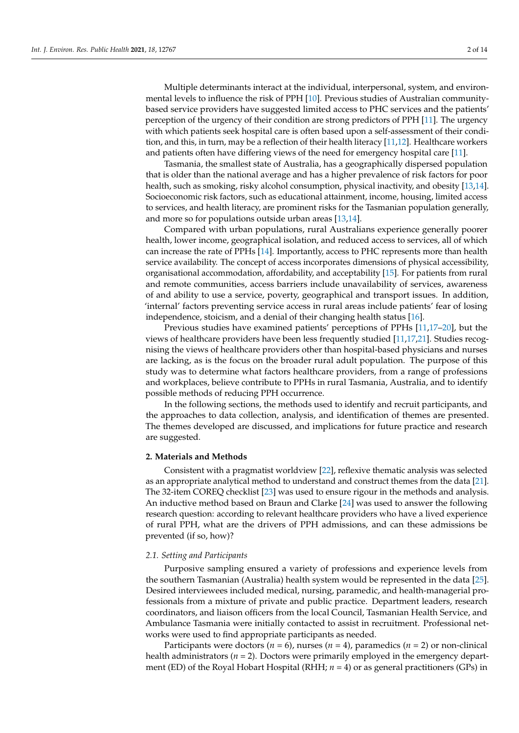Multiple determinants interact at the individual, interpersonal, system, and environmental levels to influence the risk of PPH [\[10\]](#page-11-8). Previous studies of Australian communitybased service providers have suggested limited access to PHC services and the patients' perception of the urgency of their condition are strong predictors of PPH [\[11\]](#page-11-9). The urgency with which patients seek hospital care is often based upon a self-assessment of their condition, and this, in turn, may be a reflection of their health literacy [\[11,](#page-11-9)[12\]](#page-11-10). Healthcare workers and patients often have differing views of the need for emergency hospital care [\[11\]](#page-11-9).

Tasmania, the smallest state of Australia, has a geographically dispersed population that is older than the national average and has a higher prevalence of risk factors for poor health, such as smoking, risky alcohol consumption, physical inactivity, and obesity [\[13](#page-11-11)[,14\]](#page-11-12). Socioeconomic risk factors, such as educational attainment, income, housing, limited access to services, and health literacy, are prominent risks for the Tasmanian population generally, and more so for populations outside urban areas [\[13](#page-11-11)[,14\]](#page-11-12).

Compared with urban populations, rural Australians experience generally poorer health, lower income, geographical isolation, and reduced access to services, all of which can increase the rate of PPHs [\[14\]](#page-11-12). Importantly, access to PHC represents more than health service availability. The concept of access incorporates dimensions of physical accessibility, organisational accommodation, affordability, and acceptability [\[15\]](#page-11-13). For patients from rural and remote communities, access barriers include unavailability of services, awareness of and ability to use a service, poverty, geographical and transport issues. In addition, 'internal' factors preventing service access in rural areas include patients' fear of losing independence, stoicism, and a denial of their changing health status [\[16\]](#page-11-14).

Previous studies have examined patients' perceptions of PPHs [\[11,](#page-11-9)[17–](#page-11-15)[20\]](#page-11-16), but the views of healthcare providers have been less frequently studied [\[11](#page-11-9)[,17](#page-11-15)[,21\]](#page-12-0). Studies recognising the views of healthcare providers other than hospital-based physicians and nurses are lacking, as is the focus on the broader rural adult population. The purpose of this study was to determine what factors healthcare providers, from a range of professions and workplaces, believe contribute to PPHs in rural Tasmania, Australia, and to identify possible methods of reducing PPH occurrence.

In the following sections, the methods used to identify and recruit participants, and the approaches to data collection, analysis, and identification of themes are presented. The themes developed are discussed, and implications for future practice and research are suggested.

# **2. Materials and Methods**

Consistent with a pragmatist worldview [\[22\]](#page-12-1), reflexive thematic analysis was selected as an appropriate analytical method to understand and construct themes from the data [\[21\]](#page-12-0). The 32-item COREQ checklist [\[23\]](#page-12-2) was used to ensure rigour in the methods and analysis. An inductive method based on Braun and Clarke [\[24\]](#page-12-3) was used to answer the following research question: according to relevant healthcare providers who have a lived experience of rural PPH, what are the drivers of PPH admissions, and can these admissions be prevented (if so, how)?

# *2.1. Setting and Participants*

Purposive sampling ensured a variety of professions and experience levels from the southern Tasmanian (Australia) health system would be represented in the data [\[25\]](#page-12-4). Desired interviewees included medical, nursing, paramedic, and health-managerial professionals from a mixture of private and public practice. Department leaders, research coordinators, and liaison officers from the local Council, Tasmanian Health Service, and Ambulance Tasmania were initially contacted to assist in recruitment. Professional networks were used to find appropriate participants as needed.

Participants were doctors ( $n = 6$ ), nurses ( $n = 4$ ), paramedics ( $n = 2$ ) or non-clinical health administrators (*n* = 2). Doctors were primarily employed in the emergency department (ED) of the Royal Hobart Hospital (RHH; *n* = 4) or as general practitioners (GPs) in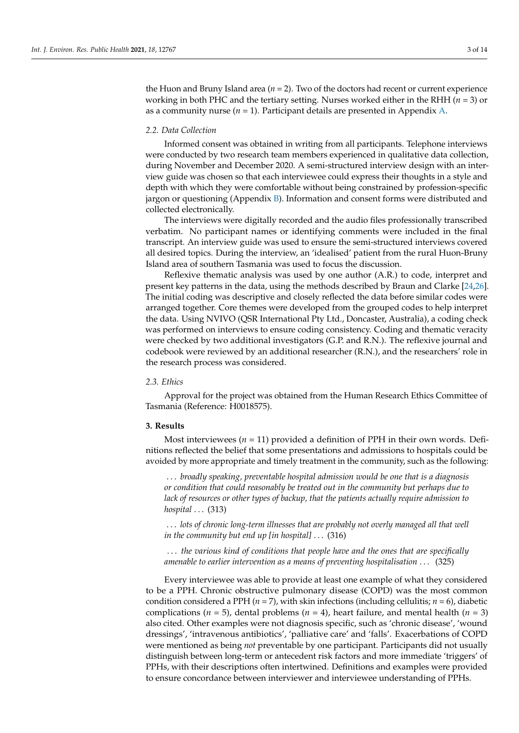the Huon and Bruny Island area (*n* = 2). Two of the doctors had recent or current experience working in both PHC and the tertiary setting. Nurses worked either in the RHH (*n* = 3) or as a community nurse  $(n = 1)$ . Participant details are presented in Appendix [A.](#page-10-0)

# *2.2. Data Collection*

Informed consent was obtained in writing from all participants. Telephone interviews were conducted by two research team members experienced in qualitative data collection, during November and December 2020. A semi-structured interview design with an interview guide was chosen so that each interviewee could express their thoughts in a style and depth with which they were comfortable without being constrained by profession-specific jargon or questioning (Appendix [B\)](#page-10-1). Information and consent forms were distributed and collected electronically.

The interviews were digitally recorded and the audio files professionally transcribed verbatim. No participant names or identifying comments were included in the final transcript. An interview guide was used to ensure the semi-structured interviews covered all desired topics. During the interview, an 'idealised' patient from the rural Huon-Bruny Island area of southern Tasmania was used to focus the discussion.

Reflexive thematic analysis was used by one author (A.R.) to code, interpret and present key patterns in the data, using the methods described by Braun and Clarke [\[24](#page-12-3)[,26\]](#page-12-5). The initial coding was descriptive and closely reflected the data before similar codes were arranged together. Core themes were developed from the grouped codes to help interpret the data. Using NVIVO (QSR International Pty Ltd., Doncaster, Australia), a coding check was performed on interviews to ensure coding consistency. Coding and thematic veracity were checked by two additional investigators (G.P. and R.N.). The reflexive journal and codebook were reviewed by an additional researcher (R.N.), and the researchers' role in the research process was considered.

# *2.3. Ethics*

Approval for the project was obtained from the Human Research Ethics Committee of Tasmania (Reference: H0018575).

#### **3. Results**

Most interviewees ( $n = 11$ ) provided a definition of PPH in their own words. Definitions reflected the belief that some presentations and admissions to hospitals could be avoided by more appropriate and timely treatment in the community, such as the following:

. . . *broadly speaking, preventable hospital admission would be one that is a diagnosis or condition that could reasonably be treated out in the community but perhaps due to lack of resources or other types of backup, that the patients actually require admission to hospital* . . . (313)

. . . *lots of chronic long-term illnesses that are probably not overly managed all that well in the community but end up [in hospital]* . . . (316)

. . . *the various kind of conditions that people have and the ones that are specifically amenable to earlier intervention as a means of preventing hospitalisation* . . . (325)

Every interviewee was able to provide at least one example of what they considered to be a PPH. Chronic obstructive pulmonary disease (COPD) was the most common condition considered a PPH ( $n = 7$ ), with skin infections (including cellulitis;  $n = 6$ ), diabetic complications ( $n = 5$ ), dental problems ( $n = 4$ ), heart failure, and mental health ( $n = 3$ ) also cited. Other examples were not diagnosis specific, such as 'chronic disease', 'wound dressings', 'intravenous antibiotics', 'palliative care' and 'falls'. Exacerbations of COPD were mentioned as being *not* preventable by one participant. Participants did not usually distinguish between long-term or antecedent risk factors and more immediate 'triggers' of PPHs, with their descriptions often intertwined. Definitions and examples were provided to ensure concordance between interviewer and interviewee understanding of PPHs.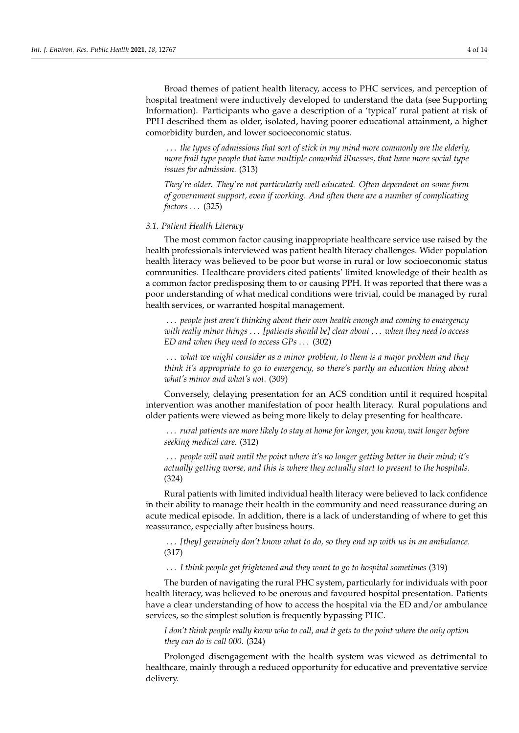Broad themes of patient health literacy, access to PHC services, and perception of hospital treatment were inductively developed to understand the data (see Supporting Information). Participants who gave a description of a 'typical' rural patient at risk of PPH described them as older, isolated, having poorer educational attainment, a higher comorbidity burden, and lower socioeconomic status.

. . . *the types of admissions that sort of stick in my mind more commonly are the elderly, more frail type people that have multiple comorbid illnesses, that have more social type issues for admission.* (313)

*They're older. They're not particularly well educated. Often dependent on some form of government support, even if working. And often there are a number of complicating factors* . . . (325)

#### *3.1. Patient Health Literacy*

The most common factor causing inappropriate healthcare service use raised by the health professionals interviewed was patient health literacy challenges. Wider population health literacy was believed to be poor but worse in rural or low socioeconomic status communities. Healthcare providers cited patients' limited knowledge of their health as a common factor predisposing them to or causing PPH. It was reported that there was a poor understanding of what medical conditions were trivial, could be managed by rural health services, or warranted hospital management.

. . . *people just aren't thinking about their own health enough and coming to emergency with really minor things* . . . *[patients should be] clear about* . . . *when they need to access ED and when they need to access GPs* . . . (302)

. . . *what we might consider as a minor problem, to them is a major problem and they think it's appropriate to go to emergency, so there's partly an education thing about what's minor and what's not.* (309)

Conversely, delaying presentation for an ACS condition until it required hospital intervention was another manifestation of poor health literacy. Rural populations and older patients were viewed as being more likely to delay presenting for healthcare.

. . . *rural patients are more likely to stay at home for longer, you know, wait longer before seeking medical care.* (312)

. . . *people will wait until the point where it's no longer getting better in their mind; it's actually getting worse, and this is where they actually start to present to the hospitals.* (324)

Rural patients with limited individual health literacy were believed to lack confidence in their ability to manage their health in the community and need reassurance during an acute medical episode. In addition, there is a lack of understanding of where to get this reassurance, especially after business hours.

. . . *[they] genuinely don't know what to do, so they end up with us in an ambulance.* (317)

. . . *I think people get frightened and they want to go to hospital sometimes* (319)

The burden of navigating the rural PHC system, particularly for individuals with poor health literacy, was believed to be onerous and favoured hospital presentation. Patients have a clear understanding of how to access the hospital via the ED and/or ambulance services, so the simplest solution is frequently bypassing PHC.

*I don't think people really know who to call, and it gets to the point where the only option they can do is call 000.* (324)

Prolonged disengagement with the health system was viewed as detrimental to healthcare, mainly through a reduced opportunity for educative and preventative service delivery.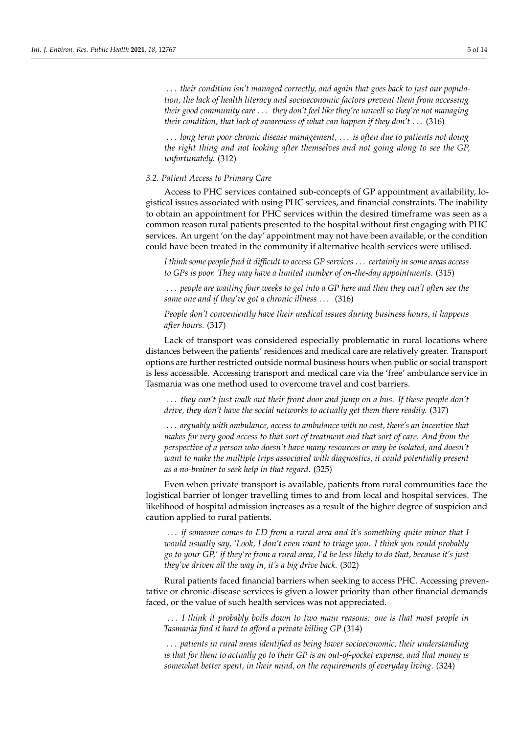. . . *their condition isn't managed correctly, and again that goes back to just our population, the lack of health literacy and socioeconomic factors prevent them from accessing their good community care* . . . *they don't feel like they're unwell so they're not managing their condition, that lack of awareness of what can happen if they don't* . . . (316)

. . . *long term poor chronic disease management,* . . . *is often due to patients not doing the right thing and not looking after themselves and not going along to see the GP, unfortunately.* (312)

#### *3.2. Patient Access to Primary Care*

Access to PHC services contained sub-concepts of GP appointment availability, logistical issues associated with using PHC services, and financial constraints. The inability to obtain an appointment for PHC services within the desired timeframe was seen as a common reason rural patients presented to the hospital without first engaging with PHC services. An urgent 'on the day' appointment may not have been available, or the condition could have been treated in the community if alternative health services were utilised.

*I think some people find it difficult to access GP services* . . . *certainly in some areas access to GPs is poor. They may have a limited number of on-the-day appointments.* (315)

. . . *people are waiting four weeks to get into a GP here and then they can't often see the same one and if they've got a chronic illness* . . . (316)

*People don't conveniently have their medical issues during business hours, it happens after hours.* (317)

Lack of transport was considered especially problematic in rural locations where distances between the patients' residences and medical care are relatively greater. Transport options are further restricted outside normal business hours when public or social transport is less accessible. Accessing transport and medical care via the 'free' ambulance service in Tasmania was one method used to overcome travel and cost barriers.

. . . *they can't just walk out their front door and jump on a bus. If these people don't drive, they don't have the social networks to actually get them there readily.* (317)

. . . *arguably with ambulance, access to ambulance with no cost, there's an incentive that makes for very good access to that sort of treatment and that sort of care. And from the perspective of a person who doesn't have many resources or may be isolated, and doesn't want to make the multiple trips associated with diagnostics, it could potentially present as a no-brainer to seek help in that regard.* (325)

Even when private transport is available, patients from rural communities face the logistical barrier of longer travelling times to and from local and hospital services. The likelihood of hospital admission increases as a result of the higher degree of suspicion and caution applied to rural patients.

. . . *if someone comes to ED from a rural area and it's something quite minor that I would usually say, 'Look, I don't even want to triage you. I think you could probably go to your GP,' if they're from a rural area, I'd be less likely to do that, because it's just they've driven all the way in, it's a big drive back.* (302)

Rural patients faced financial barriers when seeking to access PHC. Accessing preventative or chronic-disease services is given a lower priority than other financial demands faced, or the value of such health services was not appreciated.

. . . *I think it probably boils down to two main reasons: one is that most people in Tasmania find it hard to afford a private billing GP* (314)

. . . *patients in rural areas identified as being lower socioeconomic, their understanding is that for them to actually go to their GP is an out-of-pocket expense, and that money is somewhat better spent, in their mind, on the requirements of everyday living.* (324)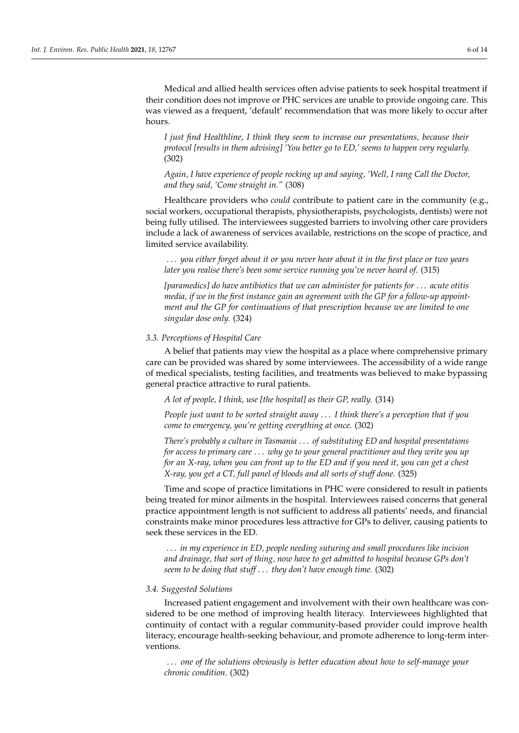*I just find Healthline, I think they seem to increase our presentations, because their protocol [results in them advising] 'You better go to ED,' seems to happen very regularly.* (302)

*Again, I have experience of people rocking up and saying, 'Well, I rang Call the Doctor, and they said, 'Come straight in."* (308)

Healthcare providers who *could* contribute to patient care in the community (e.g., social workers, occupational therapists, physiotherapists, psychologists, dentists) were not being fully utilised. The interviewees suggested barriers to involving other care providers include a lack of awareness of services available, restrictions on the scope of practice, and limited service availability.

. . . *you either forget about it or you never hear about it in the first place or two years later you realise there's been some service running you've never heard of.* (315)

*[paramedics] do have antibiotics that we can administer for patients for* . . . *acute otitis media, if we in the first instance gain an agreement with the GP for a follow-up appointment and the GP for continuations of that prescription because we are limited to one singular dose only.* (324)

# *3.3. Perceptions of Hospital Care*

A belief that patients may view the hospital as a place where comprehensive primary care can be provided was shared by some interviewees. The accessibility of a wide range of medical specialists, testing facilities, and treatments was believed to make bypassing general practice attractive to rural patients.

*A lot of people, I think, use [the hospital] as their GP, really.* (314)

*People just want to be sorted straight away* . . . *I think there's a perception that if you come to emergency, you're getting everything at once.* (302)

*There's probably a culture in Tasmania* . . . *of substituting ED and hospital presentations for access to primary care* . . . *why go to your general practitioner and they write you up for an X-ray, when you can front up to the ED and if you need it, you can get a chest X-ray, you get a CT, full panel of bloods and all sorts of stuff done.* (325)

Time and scope of practice limitations in PHC were considered to result in patients being treated for minor ailments in the hospital. Interviewees raised concerns that general practice appointment length is not sufficient to address all patients' needs, and financial constraints make minor procedures less attractive for GPs to deliver, causing patients to seek these services in the ED.

. . . *in my experience in ED, people needing suturing and small procedures like incision and drainage, that sort of thing, now have to get admitted to hospital because GPs don't seem to be doing that stuff* . . . *they don't have enough time.* (302)

#### *3.4. Suggested Solutions*

Increased patient engagement and involvement with their own healthcare was considered to be one method of improving health literacy. Interviewees highlighted that continuity of contact with a regular community-based provider could improve health literacy, encourage health-seeking behaviour, and promote adherence to long-term interventions.

. . . *one of the solutions obviously is better education about how to self-manage your chronic condition.* (302)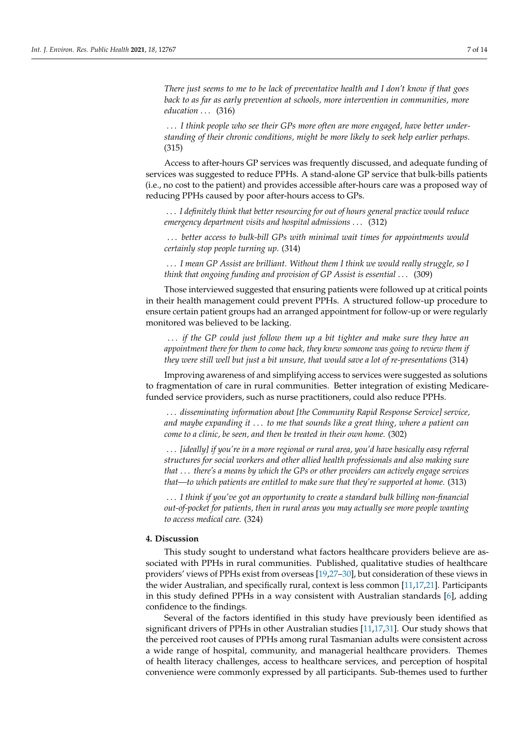*There just seems to me to be lack of preventative health and I don't know if that goes back to as far as early prevention at schools, more intervention in communities, more education* ... (316)

. . . *I think people who see their GPs more often are more engaged, have better understanding of their chronic conditions, might be more likely to seek help earlier perhaps.* (315)

Access to after-hours GP services was frequently discussed, and adequate funding of services was suggested to reduce PPHs. A stand-alone GP service that bulk-bills patients (i.e., no cost to the patient) and provides accessible after-hours care was a proposed way of reducing PPHs caused by poor after-hours access to GPs.

. . . *I definitely think that better resourcing for out of hours general practice would reduce emergency department visits and hospital admissions* . . . (312)

. . . *better access to bulk-bill GPs with minimal wait times for appointments would certainly stop people turning up.* (314)

. . . *I mean GP Assist are brilliant. Without them I think we would really struggle, so I think that ongoing funding and provision of GP Assist is essential* . . . (309)

Those interviewed suggested that ensuring patients were followed up at critical points in their health management could prevent PPHs. A structured follow-up procedure to ensure certain patient groups had an arranged appointment for follow-up or were regularly monitored was believed to be lacking.

. . . *if the GP could just follow them up a bit tighter and make sure they have an appointment there for them to come back, they knew someone was going to review them if they were still well but just a bit unsure, that would save a lot of re-presentations* (314)

Improving awareness of and simplifying access to services were suggested as solutions to fragmentation of care in rural communities. Better integration of existing Medicarefunded service providers, such as nurse practitioners, could also reduce PPHs.

. . . *disseminating information about [the Community Rapid Response Service] service, and maybe expanding it* . . . *to me that sounds like a great thing, where a patient can come to a clinic, be seen, and then be treated in their own home.* (302)

. . . *[ideally] if you're in a more regional or rural area, you'd have basically easy referral structures for social workers and other allied health professionals and also making sure that* . . . *there's a means by which the GPs or other providers can actively engage services that—to which patients are entitled to make sure that they're supported at home.* (313)

. . . *I think if you've got an opportunity to create a standard bulk billing non-financial out-of-pocket for patients, then in rural areas you may actually see more people wanting to access medical care.* (324)

# **4. Discussion**

This study sought to understand what factors healthcare providers believe are associated with PPHs in rural communities. Published, qualitative studies of healthcare providers' views of PPHs exist from overseas [\[19,](#page-11-17)[27–](#page-12-6)[30\]](#page-12-7), but consideration of these views in the wider Australian, and specifically rural, context is less common [\[11](#page-11-9)[,17](#page-11-15)[,21\]](#page-12-0). Participants in this study defined PPHs in a way consistent with Australian standards [\[6\]](#page-11-4), adding confidence to the findings.

Several of the factors identified in this study have previously been identified as significant drivers of PPHs in other Australian studies [\[11](#page-11-9)[,17](#page-11-15)[,31\]](#page-12-8). Our study shows that the perceived root causes of PPHs among rural Tasmanian adults were consistent across a wide range of hospital, community, and managerial healthcare providers. Themes of health literacy challenges, access to healthcare services, and perception of hospital convenience were commonly expressed by all participants. Sub-themes used to further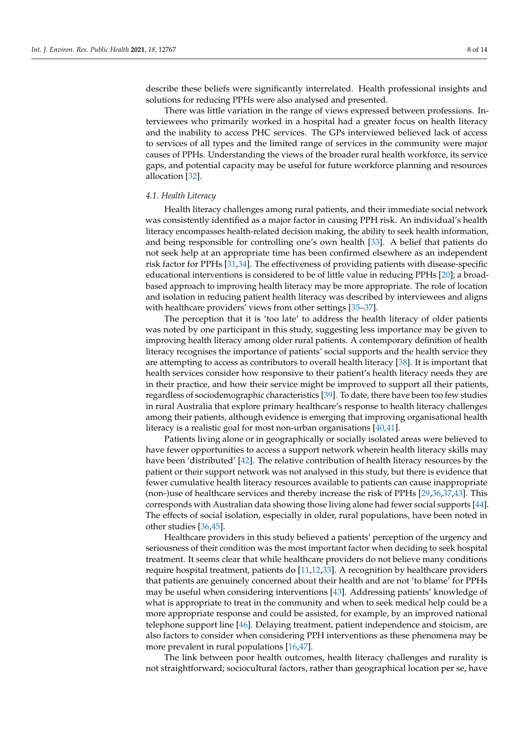describe these beliefs were significantly interrelated. Health professional insights and solutions for reducing PPHs were also analysed and presented.

There was little variation in the range of views expressed between professions. Interviewees who primarily worked in a hospital had a greater focus on health literacy and the inability to access PHC services. The GPs interviewed believed lack of access to services of all types and the limited range of services in the community were major causes of PPHs. Understanding the views of the broader rural health workforce, its service gaps, and potential capacity may be useful for future workforce planning and resources allocation [\[32\]](#page-12-9).

#### *4.1. Health Literacy*

Health literacy challenges among rural patients, and their immediate social network was consistently identified as a major factor in causing PPH risk. An individual's health literacy encompasses health-related decision making, the ability to seek health information, and being responsible for controlling one's own health [\[33\]](#page-12-10). A belief that patients do not seek help at an appropriate time has been confirmed elsewhere as an independent risk factor for PPHs [\[31](#page-12-8)[,34\]](#page-12-11). The effectiveness of providing patients with disease-specific educational interventions is considered to be of little value in reducing PPHs [\[20\]](#page-11-16); a broadbased approach to improving health literacy may be more appropriate. The role of location and isolation in reducing patient health literacy was described by interviewees and aligns with healthcare providers' views from other settings [\[35](#page-12-12)[–37\]](#page-12-13).

The perception that it is 'too late' to address the health literacy of older patients was noted by one participant in this study, suggesting less importance may be given to improving health literacy among older rural patients. A contemporary definition of health literacy recognises the importance of patients' social supports and the health service they are attempting to access as contributors to overall health literacy [\[38\]](#page-12-14). It is important that health services consider how responsive to their patient's health literacy needs they are in their practice, and how their service might be improved to support all their patients, regardless of sociodemographic characteristics [\[39\]](#page-12-15). To date, there have been too few studies in rural Australia that explore primary healthcare's response to health literacy challenges among their patients, although evidence is emerging that improving organisational health literacy is a realistic goal for most non-urban organisations [\[40](#page-12-16)[,41\]](#page-12-17).

Patients living alone or in geographically or socially isolated areas were believed to have fewer opportunities to access a support network wherein health literacy skills may have been 'distributed' [\[42\]](#page-12-18). The relative contribution of health literacy resources by the patient or their support network was not analysed in this study, but there is evidence that fewer cumulative health literacy resources available to patients can cause inappropriate (non-)use of healthcare services and thereby increase the risk of PPHs [\[29](#page-12-19)[,36](#page-12-20)[,37](#page-12-13)[,43\]](#page-12-21). This corresponds with Australian data showing those living alone had fewer social supports [\[44\]](#page-12-22). The effects of social isolation, especially in older, rural populations, have been noted in other studies [\[36,](#page-12-20)[45\]](#page-12-23).

Healthcare providers in this study believed a patients' perception of the urgency and seriousness of their condition was the most important factor when deciding to seek hospital treatment. It seems clear that while healthcare providers do not believe many conditions require hospital treatment, patients do [\[11,](#page-11-9)[12,](#page-11-10)[33\]](#page-12-10). A recognition by healthcare providers that patients are genuinely concerned about their health and are not 'to blame' for PPHs may be useful when considering interventions [\[43\]](#page-12-21). Addressing patients' knowledge of what is appropriate to treat in the community and when to seek medical help could be a more appropriate response and could be assisted, for example, by an improved national telephone support line [\[46\]](#page-12-24). Delaying treatment, patient independence and stoicism, are also factors to consider when considering PPH interventions as these phenomena may be more prevalent in rural populations [\[16](#page-11-14)[,47\]](#page-12-25).

The link between poor health outcomes, health literacy challenges and rurality is not straightforward; sociocultural factors, rather than geographical location per se, have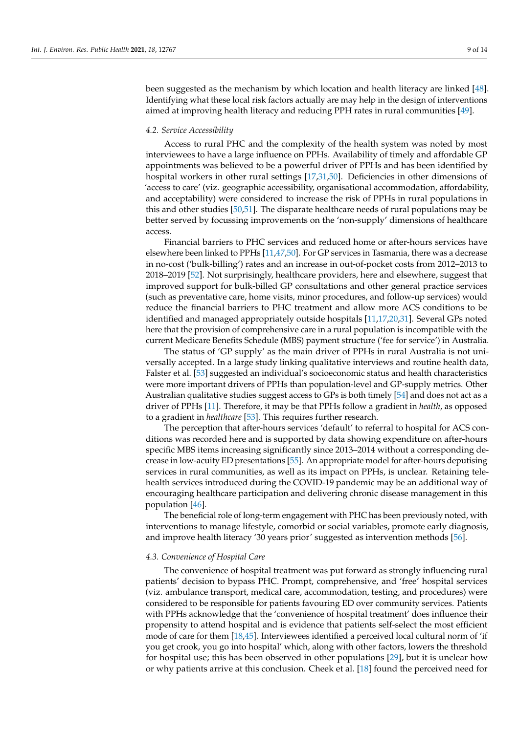been suggested as the mechanism by which location and health literacy are linked [\[48\]](#page-12-26). Identifying what these local risk factors actually are may help in the design of interventions aimed at improving health literacy and reducing PPH rates in rural communities [\[49\]](#page-12-27).

#### *4.2. Service Accessibility*

Access to rural PHC and the complexity of the health system was noted by most interviewees to have a large influence on PPHs. Availability of timely and affordable GP appointments was believed to be a powerful driver of PPHs and has been identified by hospital workers in other rural settings [\[17,](#page-11-15)[31,](#page-12-8)[50\]](#page-12-28). Deficiencies in other dimensions of 'access to care' (viz. geographic accessibility, organisational accommodation, affordability, and acceptability) were considered to increase the risk of PPHs in rural populations in this and other studies [\[50,](#page-12-28)[51\]](#page-13-0). The disparate healthcare needs of rural populations may be better served by focussing improvements on the 'non-supply' dimensions of healthcare access.

Financial barriers to PHC services and reduced home or after-hours services have elsewhere been linked to PPHs [\[11](#page-11-9)[,47,](#page-12-25)[50\]](#page-12-28). For GP services in Tasmania, there was a decrease in no-cost ('bulk-billing') rates and an increase in out-of-pocket costs from 2012–2013 to 2018–2019 [\[52\]](#page-13-1). Not surprisingly, healthcare providers, here and elsewhere, suggest that improved support for bulk-billed GP consultations and other general practice services (such as preventative care, home visits, minor procedures, and follow-up services) would reduce the financial barriers to PHC treatment and allow more ACS conditions to be identified and managed appropriately outside hospitals [\[11,](#page-11-9)[17,](#page-11-15)[20,](#page-11-16)[31\]](#page-12-8). Several GPs noted here that the provision of comprehensive care in a rural population is incompatible with the current Medicare Benefits Schedule (MBS) payment structure ('fee for service') in Australia.

The status of 'GP supply' as the main driver of PPHs in rural Australia is not universally accepted. In a large study linking qualitative interviews and routine health data, Falster et al. [\[53\]](#page-13-2) suggested an individual's socioeconomic status and health characteristics were more important drivers of PPHs than population-level and GP-supply metrics. Other Australian qualitative studies suggest access to GPs is both timely [\[54\]](#page-13-3) and does not act as a driver of PPHs [\[11\]](#page-11-9). Therefore, it may be that PPHs follow a gradient in *health*, as opposed to a gradient in *healthcare* [\[53\]](#page-13-2). This requires further research.

The perception that after-hours services 'default' to referral to hospital for ACS conditions was recorded here and is supported by data showing expenditure on after-hours specific MBS items increasing significantly since 2013–2014 without a corresponding decrease in low-acuity ED presentations [\[55\]](#page-13-4). An appropriate model for after-hours deputising services in rural communities, as well as its impact on PPHs, is unclear. Retaining telehealth services introduced during the COVID-19 pandemic may be an additional way of encouraging healthcare participation and delivering chronic disease management in this population [\[46\]](#page-12-24).

The beneficial role of long-term engagement with PHC has been previously noted, with interventions to manage lifestyle, comorbid or social variables, promote early diagnosis, and improve health literacy '30 years prior' suggested as intervention methods [\[56\]](#page-13-5).

# *4.3. Convenience of Hospital Care*

The convenience of hospital treatment was put forward as strongly influencing rural patients' decision to bypass PHC. Prompt, comprehensive, and 'free' hospital services (viz. ambulance transport, medical care, accommodation, testing, and procedures) were considered to be responsible for patients favouring ED over community services. Patients with PPHs acknowledge that the 'convenience of hospital treatment' does influence their propensity to attend hospital and is evidence that patients self-select the most efficient mode of care for them [\[18,](#page-11-18)[45\]](#page-12-23). Interviewees identified a perceived local cultural norm of 'if you get crook, you go into hospital' which, along with other factors, lowers the threshold for hospital use; this has been observed in other populations [\[29\]](#page-12-19), but it is unclear how or why patients arrive at this conclusion. Cheek et al. [\[18\]](#page-11-18) found the perceived need for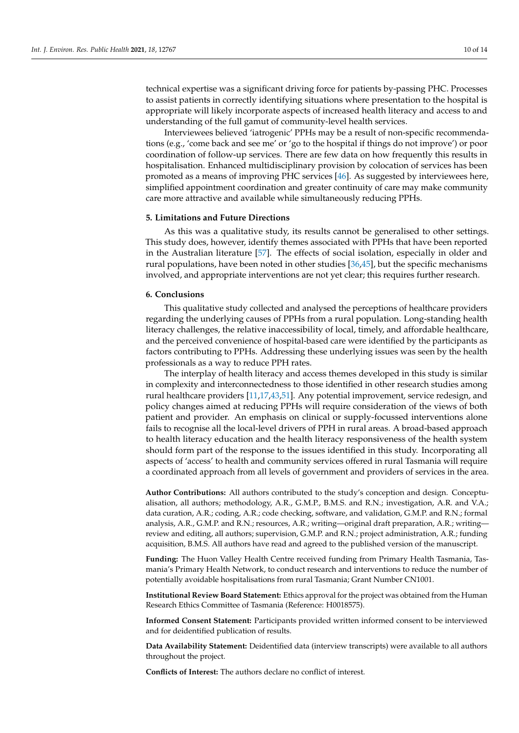technical expertise was a significant driving force for patients by-passing PHC. Processes to assist patients in correctly identifying situations where presentation to the hospital is appropriate will likely incorporate aspects of increased health literacy and access to and understanding of the full gamut of community-level health services.

Interviewees believed 'iatrogenic' PPHs may be a result of non-specific recommendations (e.g., 'come back and see me' or 'go to the hospital if things do not improve') or poor coordination of follow-up services. There are few data on how frequently this results in hospitalisation. Enhanced multidisciplinary provision by colocation of services has been promoted as a means of improving PHC services [\[46\]](#page-12-24). As suggested by interviewees here, simplified appointment coordination and greater continuity of care may make community care more attractive and available while simultaneously reducing PPHs.

# **5. Limitations and Future Directions**

As this was a qualitative study, its results cannot be generalised to other settings. This study does, however, identify themes associated with PPHs that have been reported in the Australian literature [\[57\]](#page-13-6). The effects of social isolation, especially in older and rural populations, have been noted in other studies [\[36,](#page-12-20)[45\]](#page-12-23), but the specific mechanisms involved, and appropriate interventions are not yet clear; this requires further research.

#### **6. Conclusions**

This qualitative study collected and analysed the perceptions of healthcare providers regarding the underlying causes of PPHs from a rural population. Long-standing health literacy challenges, the relative inaccessibility of local, timely, and affordable healthcare, and the perceived convenience of hospital-based care were identified by the participants as factors contributing to PPHs. Addressing these underlying issues was seen by the health professionals as a way to reduce PPH rates.

The interplay of health literacy and access themes developed in this study is similar in complexity and interconnectedness to those identified in other research studies among rural healthcare providers [\[11](#page-11-9)[,17,](#page-11-15)[43,](#page-12-21)[51\]](#page-13-0). Any potential improvement, service redesign, and policy changes aimed at reducing PPHs will require consideration of the views of both patient and provider. An emphasis on clinical or supply-focussed interventions alone fails to recognise all the local-level drivers of PPH in rural areas. A broad-based approach to health literacy education and the health literacy responsiveness of the health system should form part of the response to the issues identified in this study. Incorporating all aspects of 'access' to health and community services offered in rural Tasmania will require a coordinated approach from all levels of government and providers of services in the area.

**Author Contributions:** All authors contributed to the study's conception and design. Conceptualisation, all authors; methodology, A.R., G.M.P., B.M.S. and R.N.; investigation, A.R. and V.A.; data curation, A.R.; coding, A.R.; code checking, software, and validation, G.M.P. and R.N.; formal analysis, A.R., G.M.P. and R.N.; resources, A.R.; writing—original draft preparation, A.R.; writing review and editing, all authors; supervision, G.M.P. and R.N.; project administration, A.R.; funding acquisition, B.M.S. All authors have read and agreed to the published version of the manuscript.

**Funding:** The Huon Valley Health Centre received funding from Primary Health Tasmania, Tasmania's Primary Health Network, to conduct research and interventions to reduce the number of potentially avoidable hospitalisations from rural Tasmania; Grant Number CN1001.

**Institutional Review Board Statement:** Ethics approval for the project was obtained from the Human Research Ethics Committee of Tasmania (Reference: H0018575).

**Informed Consent Statement:** Participants provided written informed consent to be interviewed and for deidentified publication of results.

**Data Availability Statement:** Deidentified data (interview transcripts) were available to all authors throughout the project.

**Conflicts of Interest:** The authors declare no conflict of interest.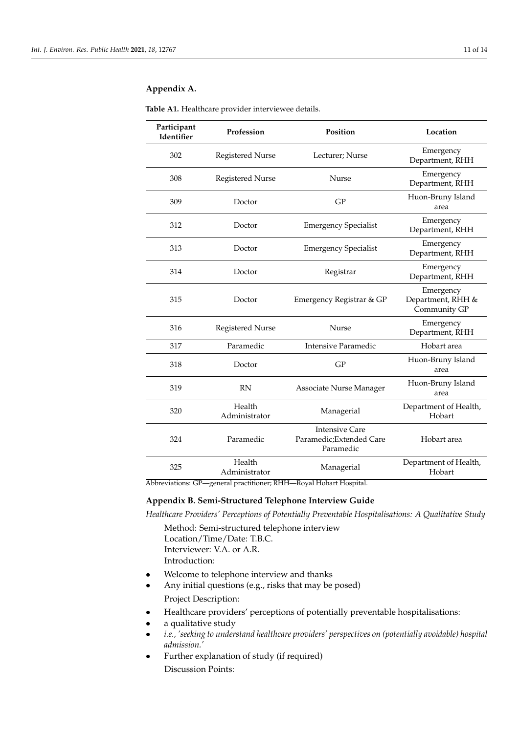# <span id="page-10-0"></span>**Appendix A.**

| Participant<br>Identifier | Profession              | Position                                                       | Location                                       |
|---------------------------|-------------------------|----------------------------------------------------------------|------------------------------------------------|
| 302                       | <b>Registered Nurse</b> | Lecturer; Nurse                                                | Emergency<br>Department, RHH                   |
| 308                       | <b>Registered Nurse</b> | <b>Nurse</b>                                                   | Emergency<br>Department, RHH                   |
| 309                       | Doctor                  | GP                                                             | Huon-Bruny Island<br>area                      |
| 312                       | Doctor                  | <b>Emergency Specialist</b>                                    | Emergency<br>Department, RHH                   |
| 313                       | Doctor                  | <b>Emergency Specialist</b>                                    | Emergency<br>Department, RHH                   |
| 314                       | Doctor                  | Registrar                                                      | Emergency<br>Department, RHH                   |
| 315                       | Doctor                  | Emergency Registrar & GP                                       | Emergency<br>Department, RHH &<br>Community GP |
| 316                       | <b>Registered Nurse</b> | <b>Nurse</b>                                                   | Emergency<br>Department, RHH                   |
| 317                       | Paramedic               | <b>Intensive Paramedic</b>                                     | Hobart area                                    |
| 318                       | Doctor                  | GP                                                             | Huon-Bruny Island<br>area                      |
| 319                       | <b>RN</b>               | Associate Nurse Manager                                        | Huon-Bruny Island<br>area                      |
| 320                       | Health<br>Administrator | Managerial                                                     | Department of Health,<br>Hobart                |
| 324                       | Paramedic               | <b>Intensive Care</b><br>Paramedic; Extended Care<br>Paramedic | Hobart area                                    |
| 325                       | Health<br>Administrator | Managerial                                                     | Department of Health,<br>Hobart                |

**Table A1.** Healthcare provider interviewee details.

Abbreviations: GP—general practitioner; RHH—Royal Hobart Hospital.

# <span id="page-10-1"></span>**Appendix B. Semi-Structured Telephone Interview Guide**

*Healthcare Providers' Perceptions of Potentially Preventable Hospitalisations: A Qualitative Study*

Method: Semi-structured telephone interview Location/Time/Date: T.B.C. Interviewer: V.A. or A.R. Introduction:

- Welcome to telephone interview and thanks
- Any initial questions (e.g., risks that may be posed) Project Description:
- Healthcare providers' perceptions of potentially preventable hospitalisations:
- a qualitative study
- *i.e., 'seeking to understand healthcare providers' perspectives on (potentially avoidable) hospital admission.'*
- Further explanation of study (if required) Discussion Points: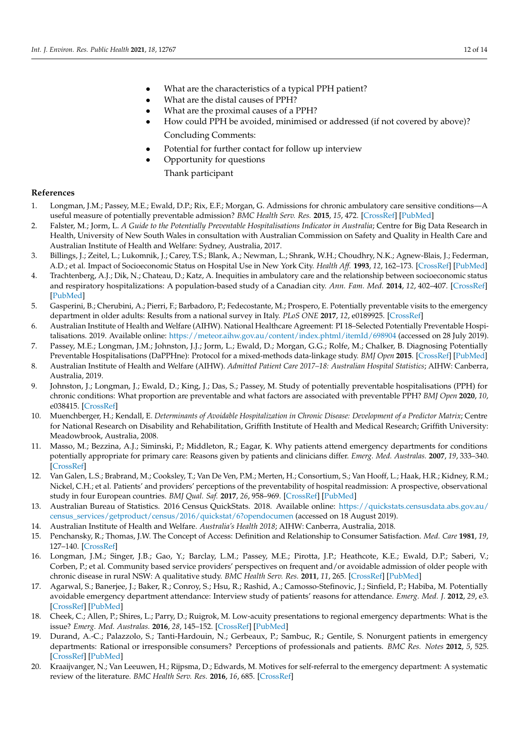- What are the characteristics of a typical PPH patient?
- What are the distal causes of PPH?
- What are the proximal causes of a PPH?
- How could PPH be avoided, minimised or addressed (if not covered by above)? Concluding Comments:
- Potential for further contact for follow up interview
- Opportunity for questions
	- Thank participant

# **References**

- <span id="page-11-0"></span>1. Longman, J.M.; Passey, M.E.; Ewald, D.P.; Rix, E.F.; Morgan, G. Admissions for chronic ambulatory care sensitive conditions—A useful measure of potentially preventable admission? *BMC Health Serv. Res.* **2015**, *15*, 472. [\[CrossRef\]](http://doi.org/10.1186/s12913-015-1137-0) [\[PubMed\]](http://www.ncbi.nlm.nih.gov/pubmed/26475293)
- <span id="page-11-1"></span>2. Falster, M.; Jorm, L. *A Guide to the Potentially Preventable Hospitalisations Indicator in Australia*; Centre for Big Data Research in Health, University of New South Wales in consultation with Australian Commission on Safety and Quality in Health Care and Australian Institute of Health and Welfare: Sydney, Australia, 2017.
- <span id="page-11-2"></span>3. Billings, J.; Zeitel, L.; Lukomnik, J.; Carey, T.S.; Blank, A.; Newman, L.; Shrank, W.H.; Choudhry, N.K.; Agnew-Blais, J.; Federman, A.D.; et al. Impact of Socioeconomic Status on Hospital Use in New York City. *Health Aff.* **1993**, *12*, 162–173. [\[CrossRef\]](http://doi.org/10.1377/hlthaff.12.1.162) [\[PubMed\]](http://www.ncbi.nlm.nih.gov/pubmed/8509018)
- 4. Trachtenberg, A.J.; Dik, N.; Chateau, D.; Katz, A. Inequities in ambulatory care and the relationship between socioeconomic status and respiratory hospitalizations: A population-based study of a Canadian city. *Ann. Fam. Med.* **2014**, *12*, 402–407. [\[CrossRef\]](http://doi.org/10.1370/afm.1683) [\[PubMed\]](http://www.ncbi.nlm.nih.gov/pubmed/25354403)
- <span id="page-11-3"></span>5. Gasperini, B.; Cherubini, A.; Pierri, F.; Barbadoro, P.; Fedecostante, M.; Prospero, E. Potentially preventable visits to the emergency department in older adults: Results from a national survey in Italy. *PLoS ONE* **2017**, *12*, e0189925. [\[CrossRef\]](http://doi.org/10.1371/journal.pone.0189925)
- <span id="page-11-4"></span>6. Australian Institute of Health and Welfare (AIHW). National Healthcare Agreement: PI 18–Selected Potentially Preventable Hospitalisations. 2019. Available online: <https://meteor.aihw.gov.au/content/index.phtml/itemId/698904> (accessed on 28 July 2019).
- <span id="page-11-5"></span>7. Passey, M.E.; Longman, J.M.; Johnston, J.J.; Jorm, L.; Ewald, D.; Morgan, G.G.; Rolfe, M.; Chalker, B. Diagnosing Potentially Preventable Hospitalisations (DaPPHne): Protocol for a mixed-methods data-linkage study. *BMJ Open* **2015**. [\[CrossRef\]](http://doi.org/10.1136/bmjopen-2015-009879) [\[PubMed\]](http://www.ncbi.nlm.nih.gov/pubmed/26597867)
- <span id="page-11-6"></span>8. Australian Institute of Health and Welfare (AIHW). *Admitted Patient Care 2017–18: Australian Hospital Statistics*; AIHW: Canberra, Australia, 2019.
- <span id="page-11-7"></span>9. Johnston, J.; Longman, J.; Ewald, D.; King, J.; Das, S.; Passey, M. Study of potentially preventable hospitalisations (PPH) for chronic conditions: What proportion are preventable and what factors are associated with preventable PPH? *BMJ Open* **2020**, *10*, e038415. [\[CrossRef\]](http://doi.org/10.1136/bmjopen-2020-038415)
- <span id="page-11-8"></span>10. Muenchberger, H.; Kendall, E. *Determinants of Avoidable Hospitalization in Chronic Disease: Development of a Predictor Matrix*; Centre for National Research on Disability and Rehabilitation, Griffith Institute of Health and Medical Research; Griffith University: Meadowbrook, Australia, 2008.
- <span id="page-11-9"></span>11. Masso, M.; Bezzina, A.J.; Siminski, P.; Middleton, R.; Eagar, K. Why patients attend emergency departments for conditions potentially appropriate for primary care: Reasons given by patients and clinicians differ. *Emerg. Med. Australas.* **2007**, *19*, 333–340. [\[CrossRef\]](http://doi.org/10.1111/j.1742-6723.2007.00968.x)
- <span id="page-11-10"></span>12. Van Galen, L.S.; Brabrand, M.; Cooksley, T.; Van De Ven, P.M.; Merten, H.; Consortium, S.; Van Hooff, L.; Haak, H.R.; Kidney, R.M.; Nickel, C.H.; et al. Patients' and providers' perceptions of the preventability of hospital readmission: A prospective, observational study in four European countries. *BMJ Qual. Saf.* **2017**, *26*, 958–969. [\[CrossRef\]](http://doi.org/10.1136/bmjqs-2017-006645) [\[PubMed\]](http://www.ncbi.nlm.nih.gov/pubmed/28642333)
- <span id="page-11-11"></span>13. Australian Bureau of Statistics. 2016 Census QuickStats. 2018. Available online: [https://quickstats.censusdata.abs.gov.au/](https://quickstats.censusdata.abs.gov.au/census_services/getproduct/census/2016/quickstat/6?opendocumen) [census\\_services/getproduct/census/2016/quickstat/6?opendocumen](https://quickstats.censusdata.abs.gov.au/census_services/getproduct/census/2016/quickstat/6?opendocumen) (accessed on 18 August 2019).
- <span id="page-11-12"></span>14. Australian Institute of Health and Welfare. *Australia's Health 2018*; AIHW: Canberra, Australia, 2018.
- <span id="page-11-13"></span>15. Penchansky, R.; Thomas, J.W. The Concept of Access: Definition and Relationship to Consumer Satisfaction. *Med. Care* **1981**, *19*, 127–140. [\[CrossRef\]](http://doi.org/10.1097/00005650-198102000-00001)
- <span id="page-11-14"></span>16. Longman, J.M.; Singer, J.B.; Gao, Y.; Barclay, L.M.; Passey, M.E.; Pirotta, J.P.; Heathcote, K.E.; Ewald, D.P.; Saberi, V.; Corben, P.; et al. Community based service providers' perspectives on frequent and/or avoidable admission of older people with chronic disease in rural NSW: A qualitative study. *BMC Health Serv. Res.* **2011**, *11*, 265. [\[CrossRef\]](http://doi.org/10.1186/1472-6963-11-265) [\[PubMed\]](http://www.ncbi.nlm.nih.gov/pubmed/21989302)
- <span id="page-11-15"></span>17. Agarwal, S.; Banerjee, J.; Baker, R.; Conroy, S.; Hsu, R.; Rashid, A.; Camosso-Stefinovic, J.; Sinfield, P.; Habiba, M. Potentially avoidable emergency department attendance: Interview study of patients' reasons for attendance. *Emerg. Med. J.* **2012**, *29*, e3. [\[CrossRef\]](http://doi.org/10.1136/emermed-2011-200585) [\[PubMed\]](http://www.ncbi.nlm.nih.gov/pubmed/22205782)
- <span id="page-11-18"></span>18. Cheek, C.; Allen, P.; Shires, L.; Parry, D.; Ruigrok, M. Low-acuity presentations to regional emergency departments: What is the issue? *Emerg. Med. Australas.* **2016**, *28*, 145–152. [\[CrossRef\]](http://doi.org/10.1111/1742-6723.12526) [\[PubMed\]](http://www.ncbi.nlm.nih.gov/pubmed/26708775)
- <span id="page-11-17"></span>19. Durand, A.-C.; Palazzolo, S.; Tanti-Hardouin, N.; Gerbeaux, P.; Sambuc, R.; Gentile, S. Nonurgent patients in emergency departments: Rational or irresponsible consumers? Perceptions of professionals and patients. *BMC Res. Notes* **2012**, *5*, 525. [\[CrossRef\]](http://doi.org/10.1186/1756-0500-5-525) [\[PubMed\]](http://www.ncbi.nlm.nih.gov/pubmed/23006316)
- <span id="page-11-16"></span>20. Kraaijvanger, N.; Van Leeuwen, H.; Rijpsma, D.; Edwards, M. Motives for self-referral to the emergency department: A systematic review of the literature. *BMC Health Serv. Res.* **2016**, *16*, 685. [\[CrossRef\]](http://doi.org/10.1186/s12913-016-1935-z)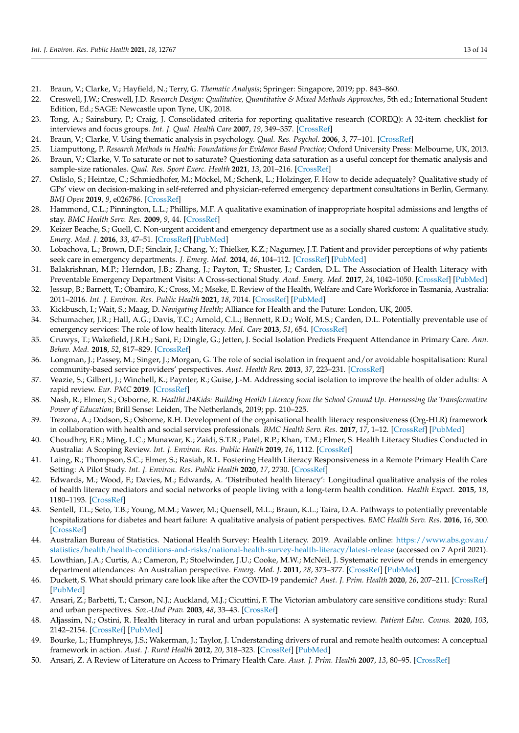- <span id="page-12-0"></span>21. Braun, V.; Clarke, V.; Hayfield, N.; Terry, G. *Thematic Analysis*; Springer: Singapore, 2019; pp. 843–860.
- <span id="page-12-1"></span>22. Creswell, J.W.; Creswell, J.D. *Research Design: Qualitative, Quantitative & Mixed Methods Approaches*, 5th ed.; International Student Edition, Ed.; SAGE: Newcastle upon Tyne, UK, 2018.
- <span id="page-12-2"></span>23. Tong, A.; Sainsbury, P.; Craig, J. Consolidated criteria for reporting qualitative research (COREQ): A 32-item checklist for interviews and focus groups. *Int. J. Qual. Health Care* **2007**, *19*, 349–357. [\[CrossRef\]](http://doi.org/10.1093/intqhc/mzm042)
- <span id="page-12-3"></span>24. Braun, V.; Clarke, V. Using thematic analysis in psychology. *Qual. Res. Psychol.* **2006**, *3*, 77–101. [\[CrossRef\]](http://doi.org/10.1191/1478088706qp063oa)
- <span id="page-12-4"></span>25. Liamputtong, P. *Research Methods in Health: Foundations for Evidence Based Practice*; Oxford University Press: Melbourne, UK, 2013.
- <span id="page-12-5"></span>26. Braun, V.; Clarke, V. To saturate or not to saturate? Questioning data saturation as a useful concept for thematic analysis and sample-size rationales. *Qual. Res. Sport Exerc. Health* **2021**, *13*, 201–216. [\[CrossRef\]](http://doi.org/10.1080/2159676X.2019.1704846)
- <span id="page-12-6"></span>27. Oslislo, S.; Heintze, C.; Schmiedhofer, M.; Möckel, M.; Schenk, L.; Holzinger, F. How to decide adequately? Qualitative study of GPs' view on decision-making in self-referred and physician-referred emergency department consultations in Berlin, Germany. *BMJ Open* **2019**, *9*, e026786. [\[CrossRef\]](http://doi.org/10.1136/bmjopen-2018-026786)
- 28. Hammond, C.L.; Pinnington, L.L.; Phillips, M.F. A qualitative examination of inappropriate hospital admissions and lengths of stay. *BMC Health Serv. Res.* **2009**, *9*, 44. [\[CrossRef\]](http://doi.org/10.1186/1472-6963-9-44)
- <span id="page-12-19"></span>29. Keizer Beache, S.; Guell, C. Non-urgent accident and emergency department use as a socially shared custom: A qualitative study. *Emerg. Med. J.* **2016**, *33*, 47–51. [\[CrossRef\]](http://doi.org/10.1136/emermed-2014-204039) [\[PubMed\]](http://www.ncbi.nlm.nih.gov/pubmed/25841166)
- <span id="page-12-7"></span>30. Lobachova, L.; Brown, D.F.; Sinclair, J.; Chang, Y.; Thielker, K.Z.; Nagurney, J.T. Patient and provider perceptions of why patients seek care in emergency departments. *J. Emerg. Med.* **2014**, *46*, 104–112. [\[CrossRef\]](http://doi.org/10.1016/j.jemermed.2013.04.063) [\[PubMed\]](http://www.ncbi.nlm.nih.gov/pubmed/24063881)
- <span id="page-12-8"></span>31. Balakrishnan, M.P.; Herndon, J.B.; Zhang, J.; Payton, T.; Shuster, J.; Carden, D.L. The Association of Health Literacy with Preventable Emergency Department Visits: A Cross-sectional Study. *Acad. Emerg. Med.* **2017**, *24*, 1042–1050. [\[CrossRef\]](http://doi.org/10.1111/acem.13244) [\[PubMed\]](http://www.ncbi.nlm.nih.gov/pubmed/28646519)
- <span id="page-12-9"></span>32. Jessup, B.; Barnett, T.; Obamiro, K.; Cross, M.; Mseke, E. Review of the Health, Welfare and Care Workforce in Tasmania, Australia: 2011–2016. *Int. J. Environ. Res. Public Health* **2021**, *18*, 7014. [\[CrossRef\]](http://doi.org/10.3390/ijerph18137014) [\[PubMed\]](http://www.ncbi.nlm.nih.gov/pubmed/34209098)
- <span id="page-12-10"></span>33. Kickbusch, I.; Wait, S.; Maag, D. *Navigating Health*; Alliance for Health and the Future: London, UK, 2005.
- <span id="page-12-11"></span>34. Schumacher, J.R.; Hall, A.G.; Davis, T.C.; Arnold, C.L.; Bennett, R.D.; Wolf, M.S.; Carden, D.L. Potentially preventable use of emergency services: The role of low health literacy. *Med. Care* **2013**, *51*, 654. [\[CrossRef\]](http://doi.org/10.1097/MLR.0b013e3182992c5a)
- <span id="page-12-12"></span>35. Cruwys, T.; Wakefield, J.R.H.; Sani, F.; Dingle, G.; Jetten, J. Social Isolation Predicts Frequent Attendance in Primary Care. *Ann. Behav. Med.* **2018**, *52*, 817–829. [\[CrossRef\]](http://doi.org/10.1093/abm/kax054)
- <span id="page-12-20"></span>36. Longman, J.; Passey, M.; Singer, J.; Morgan, G. The role of social isolation in frequent and/or avoidable hospitalisation: Rural community-based service providers' perspectives. *Aust. Health Rev.* **2013**, *37*, 223–231. [\[CrossRef\]](http://doi.org/10.1071/AH12152)
- <span id="page-12-13"></span>37. Veazie, S.; Gilbert, J.; Winchell, K.; Paynter, R.; Guise, J.-M. Addressing social isolation to improve the health of older adults: A rapid review. *Eur. PMC* **2019**. [\[CrossRef\]](http://doi.org/10.23970/ahrqepc-rapidisolation)
- <span id="page-12-14"></span>38. Nash, R.; Elmer, S.; Osborne, R. *HealthLit4Kids: Building Health Literacy from the School Ground Up. Harnessing the Transformative Power of Education*; Brill Sense: Leiden, The Netherlands, 2019; pp. 210–225.
- <span id="page-12-15"></span>39. Trezona, A.; Dodson, S.; Osborne, R.H. Development of the organisational health literacy responsiveness (Org-HLR) framework in collaboration with health and social services professionals. *BMC Health Serv. Res.* **2017**, *17*, 1–12. [\[CrossRef\]](http://doi.org/10.1186/s12913-017-2465-z) [\[PubMed\]](http://www.ncbi.nlm.nih.gov/pubmed/28764699)
- <span id="page-12-16"></span>40. Choudhry, F.R.; Ming, L.C.; Munawar, K.; Zaidi, S.T.R.; Patel, R.P.; Khan, T.M.; Elmer, S. Health Literacy Studies Conducted in Australia: A Scoping Review. *Int. J. Environ. Res. Public Health* **2019**, *16*, 1112. [\[CrossRef\]](http://doi.org/10.3390/ijerph16071112)
- <span id="page-12-17"></span>41. Laing, R.; Thompson, S.C.; Elmer, S.; Rasiah, R.L. Fostering Health Literacy Responsiveness in a Remote Primary Health Care Setting: A Pilot Study. *Int. J. Environ. Res. Public Health* **2020**, *17*, 2730. [\[CrossRef\]](http://doi.org/10.3390/ijerph17082730)
- <span id="page-12-18"></span>42. Edwards, M.; Wood, F.; Davies, M.; Edwards, A. 'Distributed health literacy': Longitudinal qualitative analysis of the roles of health literacy mediators and social networks of people living with a long-term health condition. *Health Expect.* **2015**, *18*, 1180–1193. [\[CrossRef\]](http://doi.org/10.1111/hex.12093)
- <span id="page-12-21"></span>43. Sentell, T.L.; Seto, T.B.; Young, M.M.; Vawer, M.; Quensell, M.L.; Braun, K.L.; Taira, D.A. Pathways to potentially preventable hospitalizations for diabetes and heart failure: A qualitative analysis of patient perspectives. *BMC Health Serv. Res.* **2016**, *16*, 300. [\[CrossRef\]](http://doi.org/10.1186/s12913-016-1511-6)
- <span id="page-12-22"></span>44. Australian Bureau of Statistics. National Health Survey: Health Literacy. 2019. Available online: [https://www.abs.gov.au/](https://www.abs.gov.au/statistics/health/health-conditions-and-risks/national-health-survey-health-literacy/latest-release) [statistics/health/health-conditions-and-risks/national-health-survey-health-literacy/latest-release](https://www.abs.gov.au/statistics/health/health-conditions-and-risks/national-health-survey-health-literacy/latest-release) (accessed on 7 April 2021).
- <span id="page-12-23"></span>45. Lowthian, J.A.; Curtis, A.; Cameron, P.; Stoelwinder, J.U.; Cooke, M.W.; McNeil, J. Systematic review of trends in emergency department attendances: An Australian perspective. *Emerg. Med. J.* **2011**, *28*, 373–377. [\[CrossRef\]](http://doi.org/10.1136/emj.2010.099226) [\[PubMed\]](http://www.ncbi.nlm.nih.gov/pubmed/20961936)
- <span id="page-12-24"></span>46. Duckett, S. What should primary care look like after the COVID-19 pandemic? *Aust. J. Prim. Health* **2020**, *26*, 207–211. [\[CrossRef\]](http://doi.org/10.1071/PY20095) [\[PubMed\]](http://www.ncbi.nlm.nih.gov/pubmed/32454003)
- <span id="page-12-25"></span>47. Ansari, Z.; Barbetti, T.; Carson, N.J.; Auckland, M.J.; Cicuttini, F. The Victorian ambulatory care sensitive conditions study: Rural and urban perspectives. *Soz.-Und Prav.* **2003**, *48*, 33–43. [\[CrossRef\]](http://doi.org/10.1007/s000380300004)
- <span id="page-12-26"></span>48. Aljassim, N.; Ostini, R. Health literacy in rural and urban populations: A systematic review. *Patient Educ. Couns.* **2020**, *103*, 2142–2154. [\[CrossRef\]](http://doi.org/10.1016/j.pec.2020.06.007) [\[PubMed\]](http://www.ncbi.nlm.nih.gov/pubmed/32601042)
- <span id="page-12-27"></span>49. Bourke, L.; Humphreys, J.S.; Wakerman, J.; Taylor, J. Understanding drivers of rural and remote health outcomes: A conceptual framework in action. *Aust. J. Rural Health* **2012**, *20*, 318–323. [\[CrossRef\]](http://doi.org/10.1111/j.1440-1584.2012.01312.x) [\[PubMed\]](http://www.ncbi.nlm.nih.gov/pubmed/23181816)
- <span id="page-12-28"></span>50. Ansari, Z. A Review of Literature on Access to Primary Health Care. *Aust. J. Prim. Health* **2007**, *13*, 80–95. [\[CrossRef\]](http://doi.org/10.1071/PY07026)